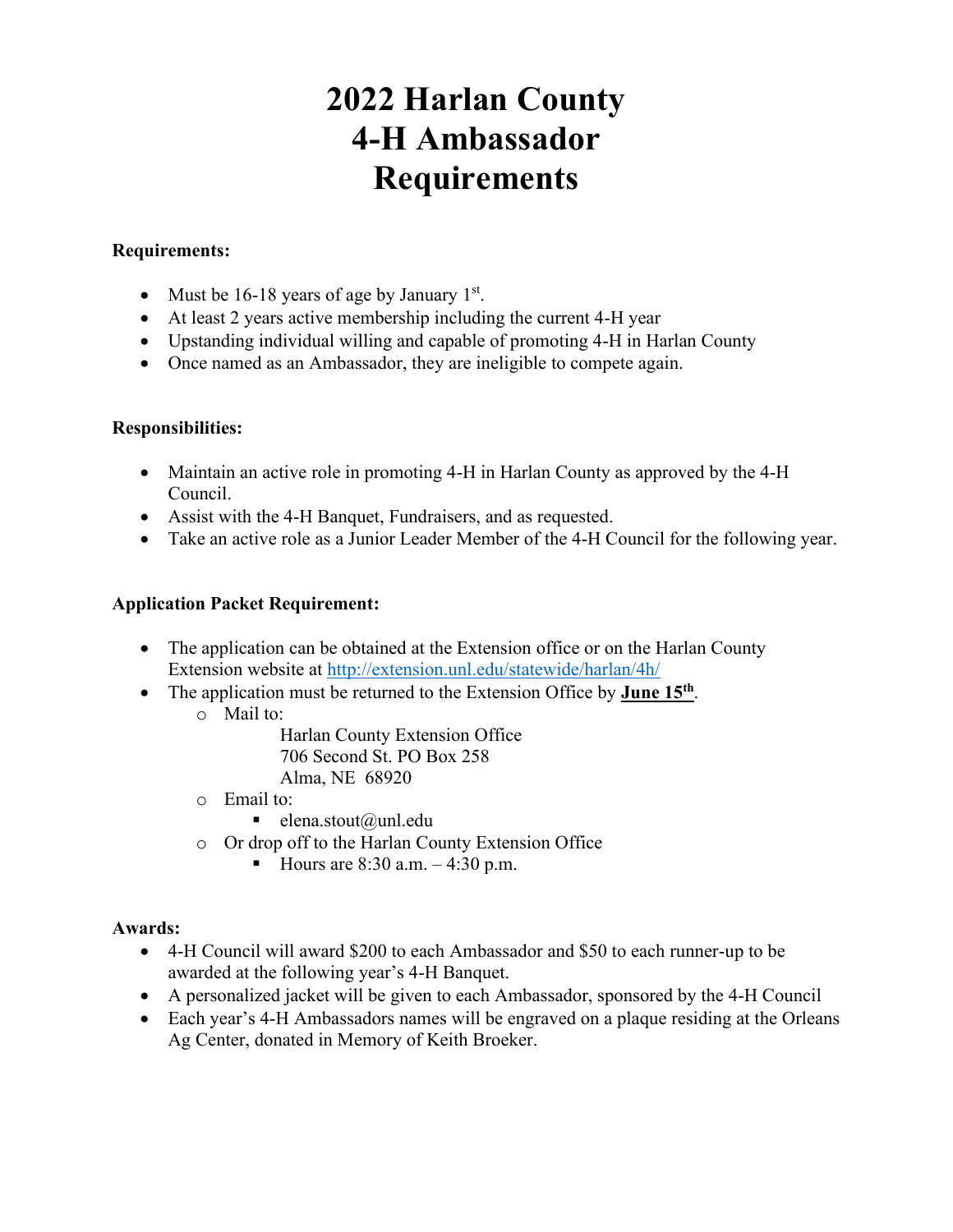## **2022 Harlan County 4-H Ambassador Requirements**

#### **Requirements:**

- Must be  $16-18$  years of age by January  $1<sup>st</sup>$ .
- At least 2 years active membership including the current 4-H year
- Upstanding individual willing and capable of promoting 4-H in Harlan County
- Once named as an Ambassador, they are ineligible to compete again.

#### **Responsibilities:**

- Maintain an active role in promoting 4-H in Harlan County as approved by the 4-H Council.
- Assist with the 4-H Banquet, Fundraisers, and as requested.
- Take an active role as a Junior Leader Member of the 4-H Council for the following year.

#### **Application Packet Requirement:**

- The application can be obtained at the Extension office or on the Harlan County Extension website at<http://extension.unl.edu/statewide/harlan/4h/>
- The application must be returned to the Extension Office by **June 15<sup>th</sup>**.
	- o Mail to:

Harlan County Extension Office 706 Second St. PO Box 258 Alma, NE 68920

- o Email to:
	- $\blacksquare$  elena.stout@unl.edu
- o Or drop off to the Harlan County Extension Office
	- Hours are  $8:30$  a.m.  $-4:30$  p.m.

#### **Awards:**

- 4-H Council will award \$200 to each Ambassador and \$50 to each runner-up to be awarded at the following year's 4-H Banquet.
- A personalized jacket will be given to each Ambassador, sponsored by the 4-H Council
- Each year's 4-H Ambassadors names will be engraved on a plaque residing at the Orleans Ag Center, donated in Memory of Keith Broeker.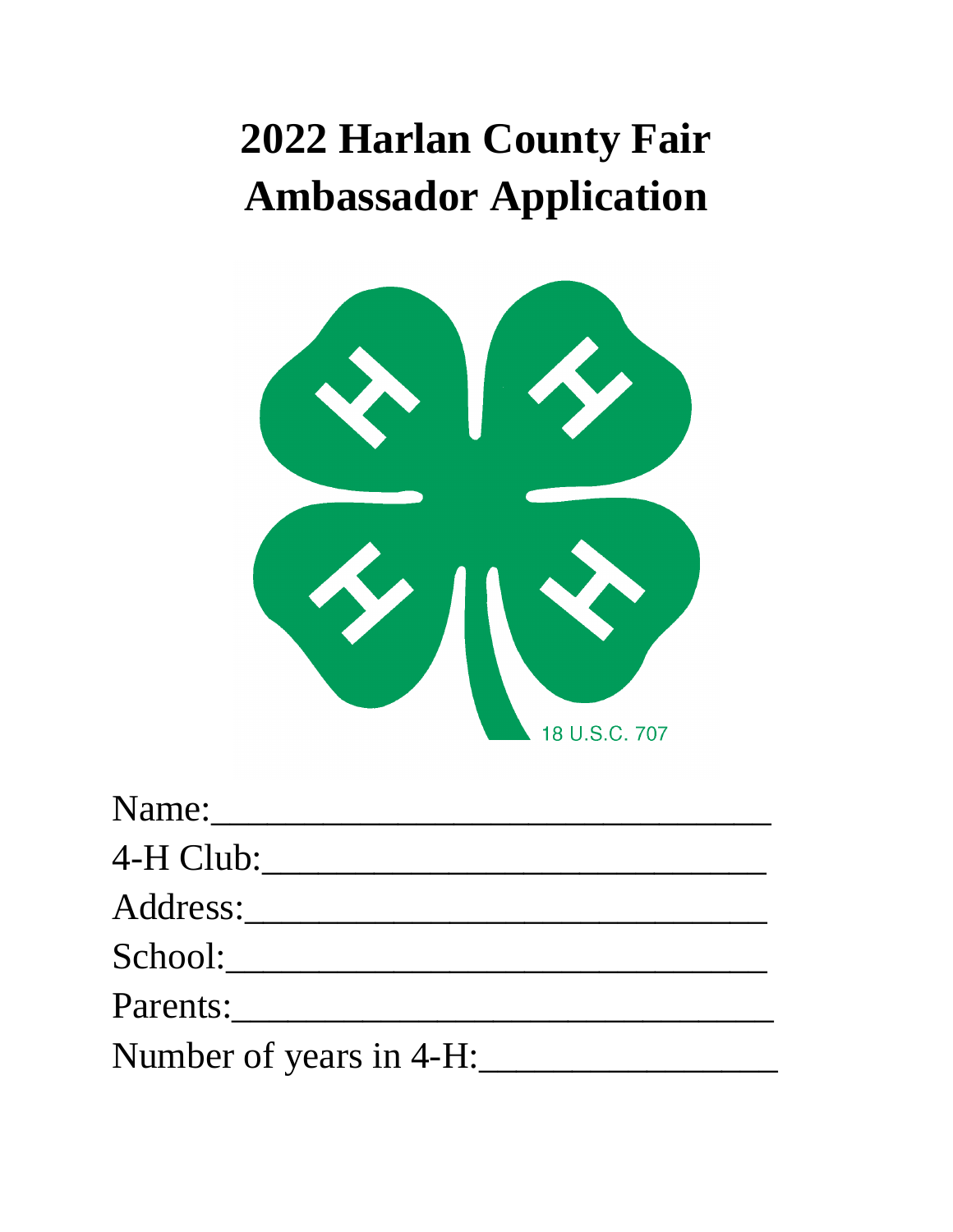# **2022 Harlan County Fair Ambassador Application**



| Name:                   |  |
|-------------------------|--|
| 4-H Club:               |  |
| Address:                |  |
| School:                 |  |
| Parents:                |  |
| Number of years in 4-H: |  |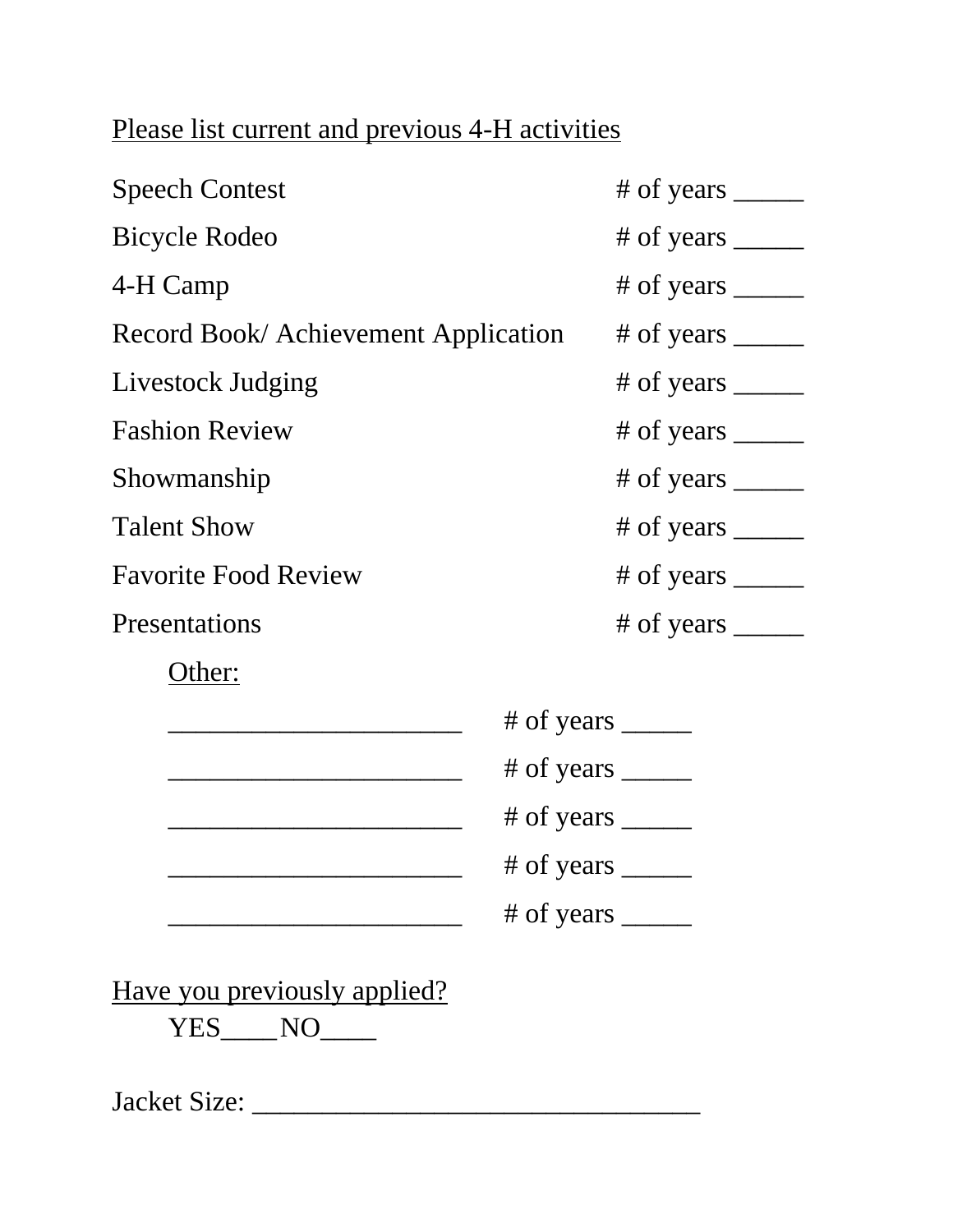## Please list current and previous 4-H activities

| <b>Speech Contest</b>                        | # of years $\frac{1}{\sqrt{1-\frac{1}{2}}\cdot\sqrt{1-\frac{1}{2}}\cdot\sqrt{1-\frac{1}{2}}\cdot\sqrt{1-\frac{1}{2}}\cdot\sqrt{1-\frac{1}{2}}\cdot\sqrt{1-\frac{1}{2}}\cdot\sqrt{1-\frac{1}{2}}\cdot\sqrt{1-\frac{1}{2}}$ |  |
|----------------------------------------------|---------------------------------------------------------------------------------------------------------------------------------------------------------------------------------------------------------------------------|--|
| <b>Bicycle Rodeo</b>                         |                                                                                                                                                                                                                           |  |
| 4-H Camp                                     | # of years $\frac{1}{\sqrt{1-\frac{1}{2}}}\$                                                                                                                                                                              |  |
| Record Book/ Achievement Application         |                                                                                                                                                                                                                           |  |
| Livestock Judging                            | # of years $\frac{1}{\sqrt{1-\frac{1}{2}}\cdot\sqrt{1-\frac{1}{2}}\cdot\sqrt{1-\frac{1}{2}}\cdot\sqrt{1-\frac{1}{2}}\cdot\sqrt{1-\frac{1}{2}}\cdot\sqrt{1-\frac{1}{2}}\cdot\sqrt{1-\frac{1}{2}}\cdot\sqrt{1-\frac{1}{2}}$ |  |
| <b>Fashion Review</b>                        | # of years _______                                                                                                                                                                                                        |  |
| Showmanship                                  | # of years $\_\_\_\_\_\_\_\_\_\_\_\_\_\_\_\_\_\_\_\_\_\_\_\_\_\_\_\_\_\_$                                                                                                                                                 |  |
| <b>Talent Show</b>                           | # of years $\frac{1}{\sqrt{1-\frac{1}{2}}}\$                                                                                                                                                                              |  |
| <b>Favorite Food Review</b>                  |                                                                                                                                                                                                                           |  |
| Presentations                                | # of years $\frac{1}{\sqrt{1-\frac{1}{2}}\sqrt{1-\frac{1}{2}}\sqrt{1-\frac{1}{2}}\sqrt{1-\frac{1}{2}}\sqrt{1-\frac{1}{2}}$                                                                                                |  |
| Other:                                       |                                                                                                                                                                                                                           |  |
| # of years $\frac{1}{\sqrt{1-\frac{1}{2}}}\$ |                                                                                                                                                                                                                           |  |
|                                              |                                                                                                                                                                                                                           |  |
|                                              | # of years $\frac{1}{\sqrt{1-\frac{1}{2}}\sqrt{1-\frac{1}{2}}\sqrt{1-\frac{1}{2}}\sqrt{1-\frac{1}{2}}\sqrt{1-\frac{1}{2}}$                                                                                                |  |
| # of years $\frac{1}{\sqrt{1-\frac{1}{2}}}\$ |                                                                                                                                                                                                                           |  |
|                                              | # of years $\_\_$                                                                                                                                                                                                         |  |
|                                              |                                                                                                                                                                                                                           |  |

Have you previously applied?

YES\_\_\_\_NO\_\_\_\_

Jacket Size: \_\_\_\_\_\_\_\_\_\_\_\_\_\_\_\_\_\_\_\_\_\_\_\_\_\_\_\_\_\_\_\_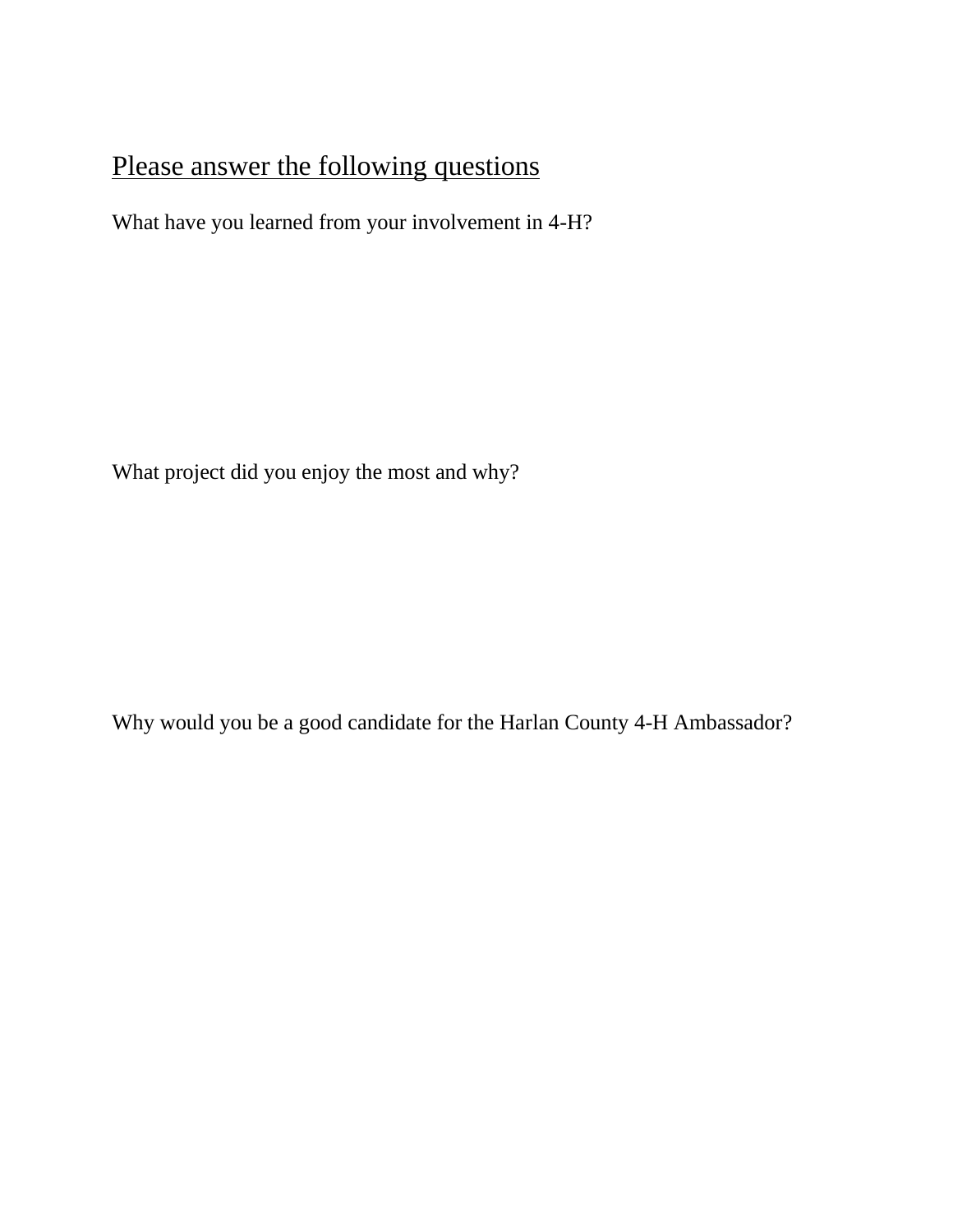## Please answer the following questions

What have you learned from your involvement in 4-H?

What project did you enjoy the most and why?

Why would you be a good candidate for the Harlan County 4-H Ambassador?